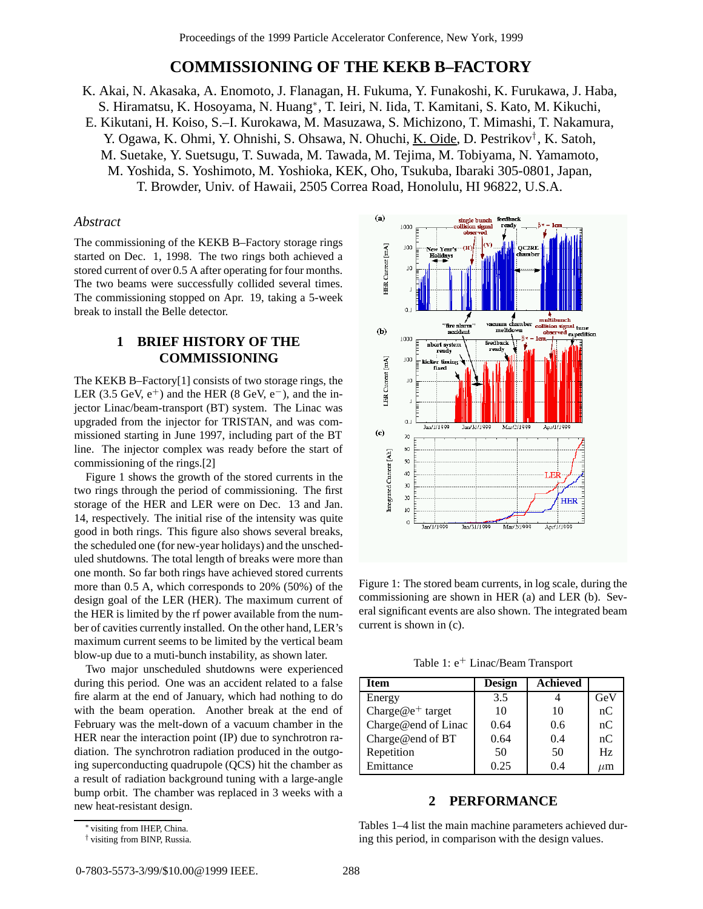# **COMMISSIONING OF THE KEKB B–FACTORY**

- K. Akai, N. Akasaka, A. Enomoto, J. Flanagan, H. Fukuma, Y. Funakoshi, K. Furukawa, J. Haba, S. Hiramatsu, K. Hosoyama, N. Huang∗, T. Ieiri, N. Iida, T. Kamitani, S. Kato, M. Kikuchi,
- E. Kikutani, H. Koiso, S.–I. Kurokawa, M. Masuzawa, S. Michizono, T. Mimashi, T. Nakamura, Y. Ogawa, K. Ohmi, Y. Ohnishi, S. Ohsawa, N. Ohuchi, K. Oide, D. Pestrikov† , K. Satoh, M. Suetake, Y. Suetsugu, T. Suwada, M. Tawada, M. Tejima, M. Tobiyama, N. Yamamoto, M. Yoshida, S. Yoshimoto, M. Yoshioka, KEK, Oho, Tsukuba, Ibaraki 305-0801, Japan, T. Browder, Univ. of Hawaii, 2505 Correa Road, Honolulu, HI 96822, U.S.A.

### *Abstract*

The commissioning of the KEKB B–Factory storage rings started on Dec. 1, 1998. The two rings both achieved a stored current of over 0.5 A after operating for four months. The two beams were successfully collided several times. The commissioning stopped on Apr. 19, taking a 5-week break to install the Belle detector.

# **1 BRIEF HISTORY OF THE COMMISSIONING**

The KEKB B–Factory[1] consists of two storage rings, the LER (3.5 GeV,  $e^+$ ) and the HER (8 GeV,  $e^-$ ), and the injector Linac/beam-transport (BT) system. The Linac was upgraded from the injector for TRISTAN, and was commissioned starting in June 1997, including part of the BT line. The injector complex was ready before the start of commissioning of the rings.[2]

Figure 1 shows the growth of the stored currents in the two rings through the period of commissioning. The first storage of the HER and LER were on Dec. 13 and Jan. 14, respectively. The initial rise of the intensity was quite good in both rings. This figure also shows several breaks, the scheduled one (for new-year holidays) and the unscheduled shutdowns. The total length of breaks were more than one month. So far both rings have achieved stored currents more than 0.5 A, which corresponds to 20% (50%) of the design goal of the LER (HER). The maximum current of the HER is limited by the rf power available from the number of cavities currently installed. On the other hand, LER's maximum current seems to be limited by the vertical beam blow-up due to a muti-bunch instability, as shown later.

Two major unscheduled shutdowns were experienced during this period. One was an accident related to a false fire alarm at the end of January, which had nothing to do with the beam operation. Another break at the end of February was the melt-down of a vacuum chamber in the HER near the interaction point (IP) due to synchrotron radiation. The synchrotron radiation produced in the outgoing superconducting quadrupole (QCS) hit the chamber as a result of radiation background tuning with a large-angle bump orbit. The chamber was replaced in 3 weeks with a new heat-resistant design.



Figure 1: The stored beam currents, in log scale, during the commissioning are shown in HER (a) and LER (b). Several significant events are also shown. The integrated beam current is shown in (c).

Table 1:  $e^+$  Linac/Beam Transport

| <b>Item</b>                  | <b>Design</b> | Achieved |         |
|------------------------------|---------------|----------|---------|
| Energy                       | 3.5           |          | GeV     |
| Charge@e <sup>+</sup> target | 10            | 10       | nC      |
| Charge@end of Linac          | 0.64          | 0.6      | nC      |
| Charge@end of BT             | 0.64          | 0.4      | nC      |
| Repetition                   | 50            | 50       | Hz      |
| Emittance                    | 0.25          | 04       | $\mu$ m |

## **2 PERFORMANCE**

Tables 1–4 list the main machine parameters achieved during this period, in comparison with the design values.

<sup>∗</sup> visiting from IHEP, China.

<sup>†</sup> visiting from BINP, Russia.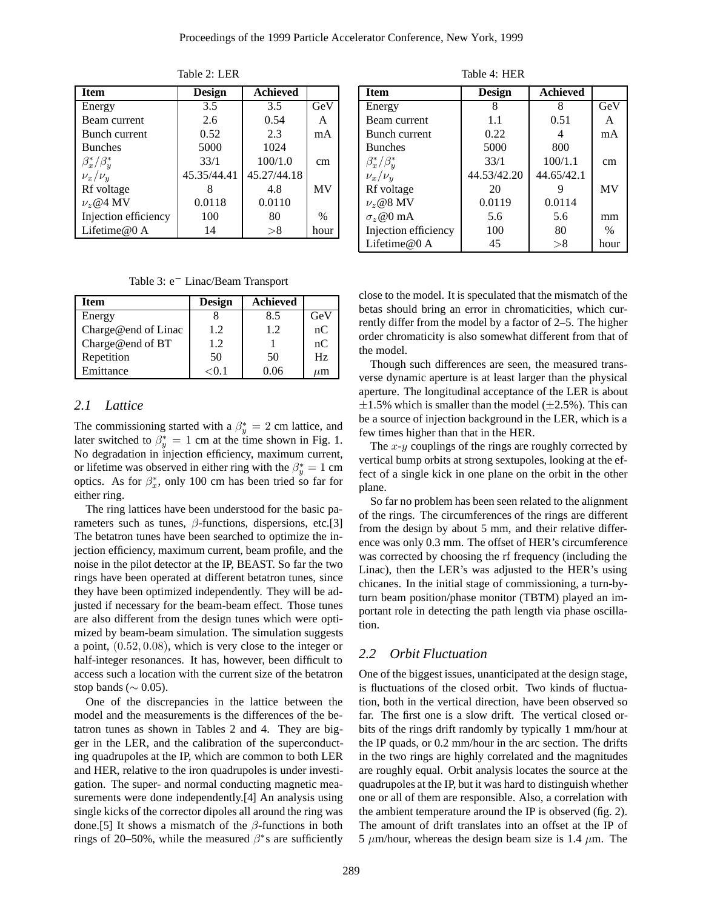| <b>Item</b>           | <b>Achieved</b><br>Design |             |      |
|-----------------------|---------------------------|-------------|------|
| Energy                | 3.5<br>3.5                |             | GeV  |
| Beam current          | 2.6                       | 0.54        | A    |
| Bunch current         | 0.52<br>2.3               |             | mA   |
| <b>Bunches</b>        | 5000                      | 1024        |      |
| $\beta_x^*/\beta_u^*$ | 33/1                      | 100/1.0     | cm   |
| $\nu_x/\nu_y$         | 45.35/44.41               | 45.27/44.18 |      |
| Rf voltage            |                           | 4.8         |      |
| $\nu_z$ @4 MV         | 0.0118                    | 0.0110      |      |
| Injection efficiency  | 100<br>80                 |             | $\%$ |
| Lifetime@ $0$ A       | 14                        | >8          | hour |

Table 2: LER

Table 3: e<sup>−</sup> Linac/Beam Transport

| Item                | <b>Design</b> | <b>Achieved</b> |         |
|---------------------|---------------|-----------------|---------|
| Energy              |               | 8.5             | GeV     |
| Charge@end of Linac | 1.2           | 1.2             | nC      |
| Charge@end of BT    | 1.2           |                 | nC      |
| Repetition          | 50            | 50              | Hz      |
| Emittance           | <() 1         | በ በ6            | $\mu$ m |

#### *2.1 Lattice*

The commissioning started with a  $\beta_y^* = 2$  cm lattice, and later switched to  $\beta_y^* = 1$  cm at the time shown in Fig. 1. No degradation in injection efficiency, maximum current, or lifetime was observed in either ring with the  $\beta_y^* = 1$  cm optics. As for  $\beta_x^*$ , only 100 cm has been tried so far for either ring.

The ring lattices have been understood for the basic parameters such as tunes,  $\beta$ -functions, dispersions, etc.[3] The betatron tunes have been searched to optimize the injection efficiency, maximum current, beam profile, and the noise in the pilot detector at the IP, BEAST. So far the two rings have been operated at different betatron tunes, since they have been optimized independently. They will be adjusted if necessary for the beam-beam effect. Those tunes are also different from the design tunes which were optimized by beam-beam simulation. The simulation suggests a point, (0.52, 0.08), which is very close to the integer or half-integer resonances. It has, however, been difficult to access such a location with the current size of the betatron stop bands ( $\sim$  0.05).

One of the discrepancies in the lattice between the model and the measurements is the differences of the betatron tunes as shown in Tables 2 and 4. They are bigger in the LER, and the calibration of the superconducting quadrupoles at the IP, which are common to both LER and HER, relative to the iron quadrupoles is under investigation. The super- and normal conducting magnetic measurements were done independently.[4] An analysis using single kicks of the corrector dipoles all around the ring was done.[5] It shows a mismatch of the  $\beta$ -functions in both rings of 20–50%, while the measured  $\beta$ <sup>\*</sup>s are sufficiently

Table 4: HER

| <b>Item</b>           | <b>Achieved</b><br>Design |            |           |
|-----------------------|---------------------------|------------|-----------|
| Energy                | 8                         | 8          |           |
| Beam current          | 1.1                       | 0.51       | А         |
| Bunch current         | 0.22                      | 4          | mA        |
| <b>Bunches</b>        | 5000                      | 800        |           |
| $\beta_x^*/\beta_u^*$ | 33/1                      | 100/1.1    | cm        |
| $\nu_x/\nu_y$         | 44.53/42.20               | 44.65/42.1 |           |
| Rf voltage            | 20                        |            | <b>MV</b> |
| $\nu_z$ @8 MV         | 0.0119                    | 0.0114     |           |
| $\sigma_z$ @0 mA      | 5.6                       | 5.6        | mm        |
| Injection efficiency  | 100                       | 80         |           |
| Lifetime@ $0$ A       | 45                        | > 8        | hour      |

close to the model. It is speculated that the mismatch of the betas should bring an error in chromaticities, which currently differ from the model by a factor of 2–5. The higher order chromaticity is also somewhat different from that of the model.

Though such differences are seen, the measured transverse dynamic aperture is at least larger than the physical aperture. The longitudinal acceptance of the LER is about  $\pm 1.5$ % which is smaller than the model ( $\pm 2.5$ %). This can be a source of injection background in the LER, which is a few times higher than that in the HER.

The  $x-y$  couplings of the rings are roughly corrected by vertical bump orbits at strong sextupoles, looking at the effect of a single kick in one plane on the orbit in the other plane.

So far no problem has been seen related to the alignment of the rings. The circumferences of the rings are different from the design by about 5 mm, and their relative difference was only 0.3 mm. The offset of HER's circumference was corrected by choosing the rf frequency (including the Linac), then the LER's was adjusted to the HER's using chicanes. In the initial stage of commissioning, a turn-byturn beam position/phase monitor (TBTM) played an important role in detecting the path length via phase oscillation.

#### *2.2 Orbit Fluctuation*

One of the biggest issues, unanticipated at the design stage, is fluctuations of the closed orbit. Two kinds of fluctuation, both in the vertical direction, have been observed so far. The first one is a slow drift. The vertical closed orbits of the rings drift randomly by typically 1 mm/hour at the IP quads, or 0.2 mm/hour in the arc section. The drifts in the two rings are highly correlated and the magnitudes are roughly equal. Orbit analysis locates the source at the quadrupoles at the IP, but it was hard to distinguish whether one or all of them are responsible. Also, a correlation with the ambient temperature around the IP is observed (fig. 2). The amount of drift translates into an offset at the IP of 5  $\mu$ m/hour, whereas the design beam size is 1.4  $\mu$ m. The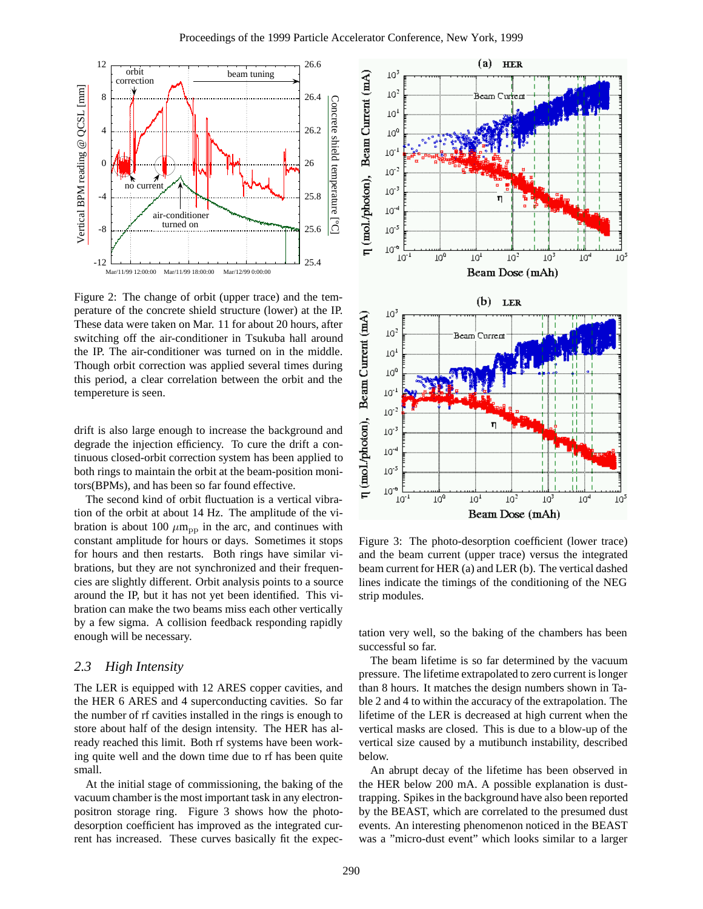

Figure 2: The change of orbit (upper trace) and the temperature of the concrete shield structure (lower) at the IP. These data were taken on Mar. 11 for about 20 hours, after switching off the air-conditioner in Tsukuba hall around the IP. The air-conditioner was turned on in the middle. Though orbit correction was applied several times during this period, a clear correlation between the orbit and the tempereture is seen.

drift is also large enough to increase the background and degrade the injection efficiency. To cure the drift a continuous closed-orbit correction system has been applied to both rings to maintain the orbit at the beam-position monitors(BPMs), and has been so far found effective.

The second kind of orbit fluctuation is a vertical vibration of the orbit at about 14 Hz. The amplitude of the vibration is about 100  $\mu$ m<sub>pp</sub> in the arc, and continues with constant amplitude for hours or days. Sometimes it stops for hours and then restarts. Both rings have similar vibrations, but they are not synchronized and their frequencies are slightly different. Orbit analysis points to a source around the IP, but it has not yet been identified. This vibration can make the two beams miss each other vertically by a few sigma. A collision feedback responding rapidly enough will be necessary.

## *2.3 High Intensity*

The LER is equipped with 12 ARES copper cavities, and the HER 6 ARES and 4 superconducting cavities. So far the number of rf cavities installed in the rings is enough to store about half of the design intensity. The HER has already reached this limit. Both rf systems have been working quite well and the down time due to rf has been quite small.

At the initial stage of commissioning, the baking of the vacuum chamber is the most important task in any electronpositron storage ring. Figure 3 shows how the photodesorption coefficient has improved as the integrated current has increased. These curves basically fit the expec-



Figure 3: The photo-desorption coefficient (lower trace) and the beam current (upper trace) versus the integrated beam current for HER (a) and LER (b). The vertical dashed lines indicate the timings of the conditioning of the NEG strip modules.

tation very well, so the baking of the chambers has been successful so far.

The beam lifetime is so far determined by the vacuum pressure. The lifetime extrapolated to zero current is longer than 8 hours. It matches the design numbers shown in Table 2 and 4 to within the accuracy of the extrapolation. The lifetime of the LER is decreased at high current when the vertical masks are closed. This is due to a blow-up of the vertical size caused by a mutibunch instability, described below.

An abrupt decay of the lifetime has been observed in the HER below 200 mA. A possible explanation is dusttrapping. Spikes in the background have also been reported by the BEAST, which are correlated to the presumed dust events. An interesting phenomenon noticed in the BEAST was a "micro-dust event" which looks similar to a larger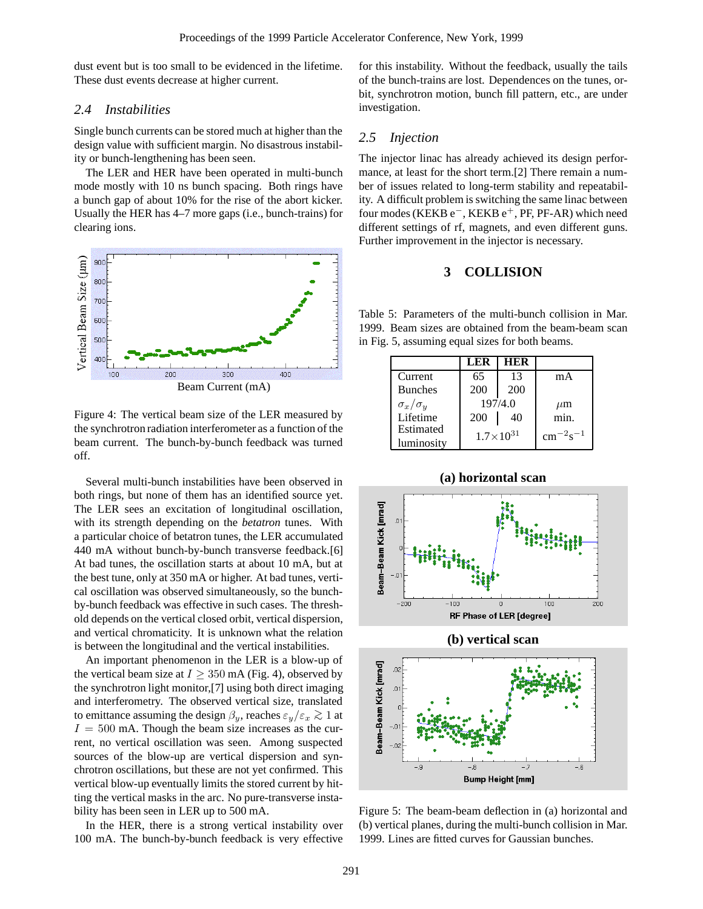dust event but is too small to be evidenced in the lifetime. These dust events decrease at higher current.

## *2.4 Instabilities*

Single bunch currents can be stored much at higher than the design value with sufficient margin. No disastrous instability or bunch-lengthening has been seen.

The LER and HER have been operated in multi-bunch mode mostly with 10 ns bunch spacing. Both rings have a bunch gap of about 10% for the rise of the abort kicker. Usually the HER has 4–7 more gaps (i.e., bunch-trains) for clearing ions.



Figure 4: The vertical beam size of the LER measured by the synchrotron radiation interferometer as a function of the beam current. The bunch-by-bunch feedback was turned off.

Several multi-bunch instabilities have been observed in both rings, but none of them has an identified source yet. The LER sees an excitation of longitudinal oscillation, with its strength depending on the *betatron* tunes. With a particular choice of betatron tunes, the LER accumulated 440 mA without bunch-by-bunch transverse feedback.[6] At bad tunes, the oscillation starts at about 10 mA, but at the best tune, only at 350 mA or higher. At bad tunes, vertical oscillation was observed simultaneously, so the bunchby-bunch feedback was effective in such cases. The threshold depends on the vertical closed orbit, vertical dispersion, and vertical chromaticity. It is unknown what the relation is between the longitudinal and the vertical instabilities.

An important phenomenon in the LER is a blow-up of the vertical beam size at  $I \geq 350$  mA (Fig. 4), observed by the synchrotron light monitor,[7] using both direct imaging and interferometry. The observed vertical size, translated to emittance assuming the design  $\beta_y$ , reaches  $\varepsilon_y/\varepsilon_x \gtrsim 1$  at  $I = 500$  mA. Though the beam size increases as the current, no vertical oscillation was seen. Among suspected sources of the blow-up are vertical dispersion and synchrotron oscillations, but these are not yet confirmed. This vertical blow-up eventually limits the stored current by hitting the vertical masks in the arc. No pure-transverse instability has been seen in LER up to 500 mA.

In the HER, there is a strong vertical instability over 100 mA. The bunch-by-bunch feedback is very effective for this instability. Without the feedback, usually the tails of the bunch-trains are lost. Dependences on the tunes, orbit, synchrotron motion, bunch fill pattern, etc., are under investigation.

## *2.5 Injection*

The injector linac has already achieved its design performance, at least for the short term.[2] There remain a number of issues related to long-term stability and repeatability. A difficult problem is switching the same linac between four modes (KEKB  $e^-$ , KEKB  $e^+$ , PF, PF-AR) which need different settings of rf, magnets, and even different guns. Further improvement in the injector is necessary.

## **3 COLLISION**

Table 5: Parameters of the multi-bunch collision in Mar. 1999. Beam sizes are obtained from the beam-beam scan in Fig. 5, assuming equal sizes for both beams.

|                     | LER | HER                |                      |
|---------------------|-----|--------------------|----------------------|
| Current             | 65  | 13                 | mA                   |
| <b>Bunches</b>      | 200 | 200                |                      |
| $\sigma_x/\sigma_y$ |     | 197/4.0            | $\mu$ m              |
| Lifetime            | 200 | 40                 | min.                 |
| Estimated           |     | $1.7\times10^{31}$ | $\rm cm^{-2} s^{-1}$ |
| luminosity          |     |                    |                      |







Figure 5: The beam-beam deflection in (a) horizontal and (b) vertical planes, during the multi-bunch collision in Mar. 1999. Lines are fitted curves for Gaussian bunches.